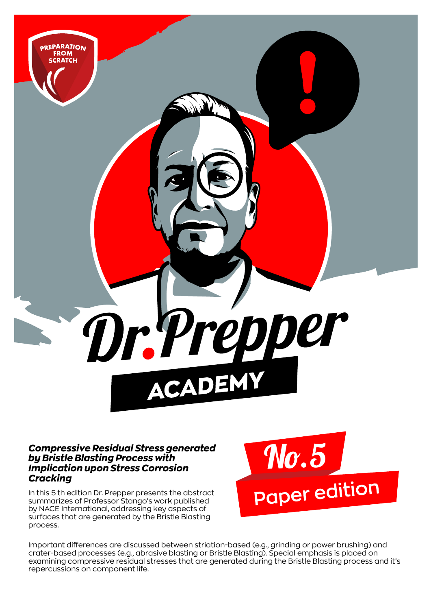

#### *Compressive Residual Stress generated by Bristle Blasting Process with Implication upon Stress Corrosion Cracking*

In this 5 th edition Dr. Prepper presents the abstract summarizes of Professor Stango's work published by NACE International, addressing key aspects of surfaces that are generated by the Bristle Blasting process.



Important differences are discussed between striation-based (e.g., grinding or power brushing) and crater-based processes (e.g., abrasive blasting or Bristle Blasting). Special emphasis is placed on examining compressive residual stresses that are generated during the Bristle Blasting process and it's repercussions on component life.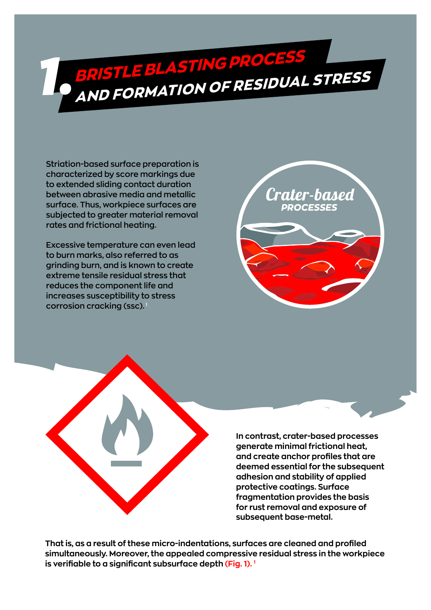# **1.**<br>BRISTLE BLASTING PROCESS<br>AND FODMATION OF RESIDUAL **AND FORMATION OF RESIDUAL STRESS**

**Striation-based surface preparation is characterized by score markings due to extended sliding contact duration between abrasive media and metallic surface. Thus, workpiece surfaces are subjected to greater material removal rates and frictional heating.** 

**Excessive temperature can even lead to burn marks, also referred to as grinding burn, and is known to create extreme tensile residual stress that reduces the component life and increases susceptibility to stress corrosion cracking (ssc). <sup>1</sup>**





**In contrast, crater-based processes generate minimal frictional heat, and create anchor profiles that are deemed essential for the subsequent adhesion and stability of applied protective coatings. Surface fragmentation provides the basis for rust removal and exposure of subsequent base-metal.**

**That is, as a result of these micro-indentations, surfaces are cleaned and profiled simultaneously. Moreover, the appealed compressive residual stress in the workpiece is verifiable to a significant subsurface depth (Fig. 1). <sup>1</sup>**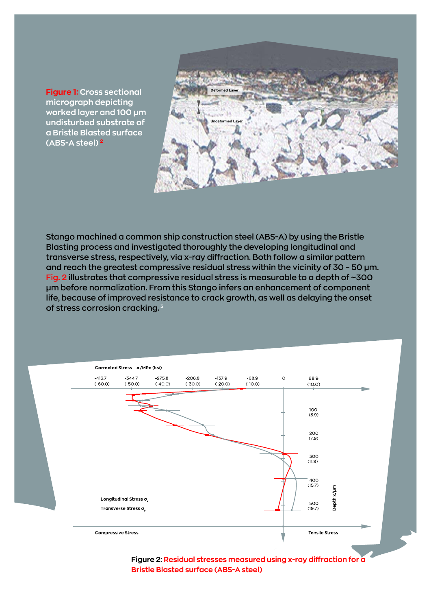**Figure 1: Cross sectional micrograph depicting worked layer and 100 µm undisturbed substrate of a Bristle Blasted surface (ABS-A steel) <sup>2</sup>**



**Stango machined a common ship construction steel (ABS-A) by using the Bristle Blasting process and investigated thoroughly the developing longitudinal and transverse stress, respectively, via x-ray diffraction. Both follow a similar pattern and reach the greatest compressive residual stress within the vicinity of 30 – 50 μm. Fig. 2 illustrates that compressive residual stress is measurable to a depth of ~300 μm before normalization. From this Stango infers an enhancement of component life, because of improved resistance to crack growth, as well as delaying the onset of stress corrosion cracking.<sup>3</sup>**



**Figure 2: Residual stresses measured using x-ray diffraction for a Bristle Blasted surface (ABS-A steel)<sup>2</sup>**